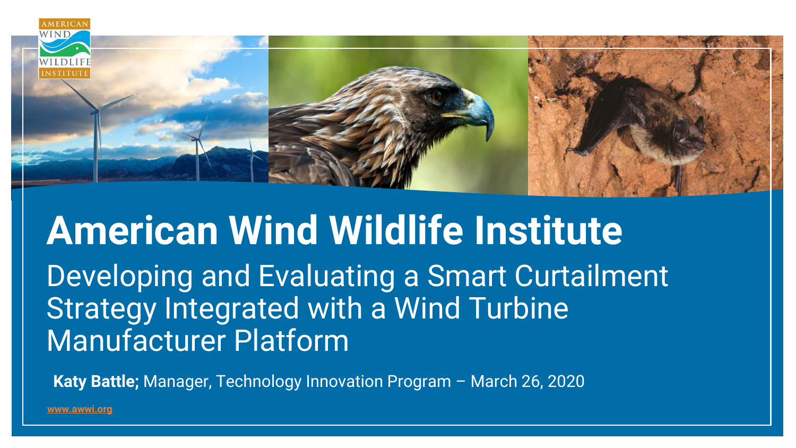

# **American Wind Wildlife Institute** Developing and Evaluating a Smart Curtailment Strategy Integrated with a Wind Turbine Manufacturer Platform

**Katy Battle;** Manager, Technology Innovation Program – March 26, 2020

**[www.awwi.org](http://www.awwi.org/)**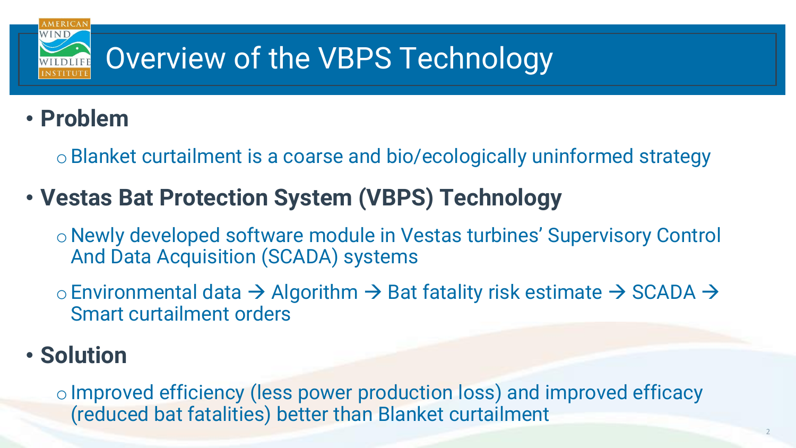

### • **Problem**

oBlanket curtailment is a coarse and bio/ecologically uninformed strategy

## • **Vestas Bat Protection System (VBPS) Technology**

o Newly developed software module in Vestas turbines' Supervisory Control And Data Acquisition (SCADA) systems

oEnvironmental data → Algorithm → Bat fatality risk estimate → SCADA → Smart curtailment orders

### • **Solution**

o Improved efficiency (less power production loss) and improved efficacy (reduced bat fatalities) better than Blanket curtailment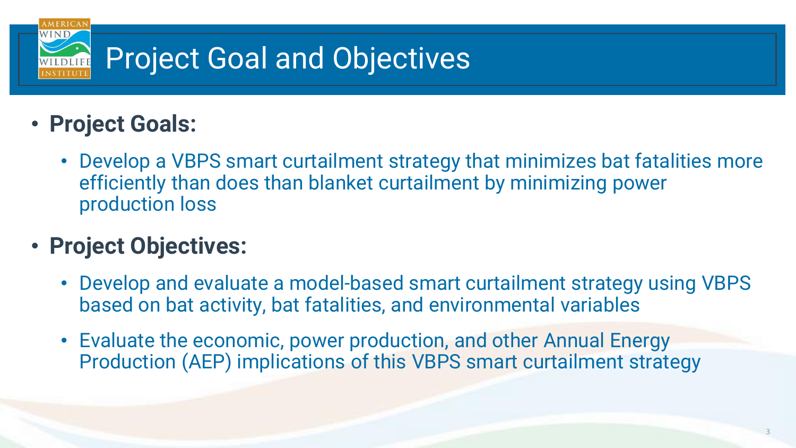

- **Project Goals:**
	- Develop a VBPS smart curtailment strategy that minimizes bat fatalities more efficiently than does than blanket curtailment by minimizing power production loss
- **Project Objectives:**
	- Develop and evaluate a model-based smart curtailment strategy using VBPS based on bat activity, bat fatalities, and environmental variables
	- Evaluate the economic, power production, and other Annual Energy Production (AEP) implications of this VBPS smart curtailment strategy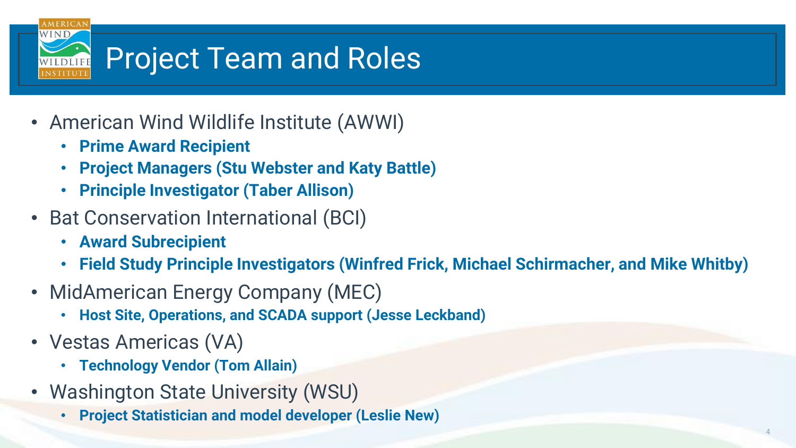

- American Wind Wildlife Institute (AWWI)
	- **Prime Award Recipient**
	- **Project Managers (Stu Webster and Katy Battle)**
	- **Principle Investigator (Taber Allison)**
- Bat Conservation International (BCI)
	- **Award Subrecipient**
	- **Field Study Principle Investigators (Winfred Frick, Michael Schirmacher, and Mike Whitby)**
- MidAmerican Energy Company (MEC)
	- **Host Site, Operations, and SCADA support (Jesse Leckband)**
- Vestas Americas (VA)
	- **Technology Vendor (Tom Allain)**
- Washington State University (WSU)
	- **Project Statistician and model developer (Leslie New)**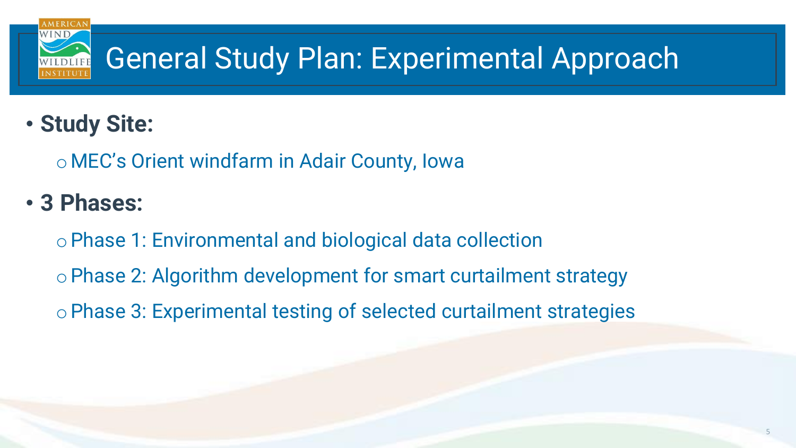

• **Study Site:**

o MEC's Orient windfarm in Adair County, Iowa

• **3 Phases:**

oPhase 1: Environmental and biological data collection oPhase 2: Algorithm development for smart curtailment strategy oPhase 3: Experimental testing of selected curtailment strategies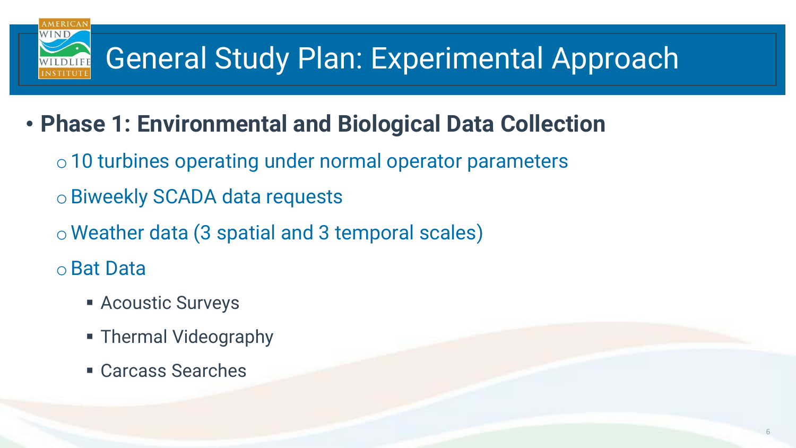- **Phase 1: Environmental and Biological Data Collection**
	- o10 turbines operating under normal operator parameters
	- oBiweekly SCADA data requests
	- o Weather data (3 spatial and 3 temporal scales)
	- oBat Data
		- **E** Acoustic Surveys
		- **Thermal Videography**
		- Carcass Searches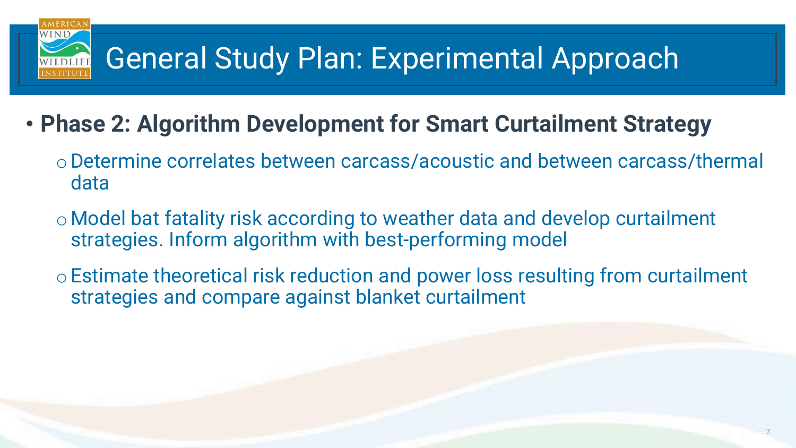- **Phase 2: Algorithm Development for Smart Curtailment Strategy** 
	- oDetermine correlates between carcass/acoustic and between carcass/thermal data
	- o Model bat fatality risk according to weather data and develop curtailment strategies. Inform algorithm with best-performing model
	- oEstimate theoretical risk reduction and power loss resulting from curtailment strategies and compare against blanket curtailment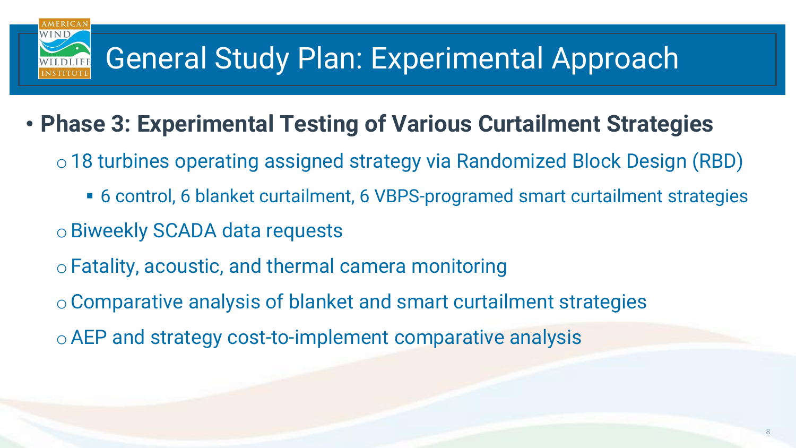- **Phase 3: Experimental Testing of Various Curtailment Strategies**
	- o18 turbines operating assigned strategy via Randomized Block Design (RBD)
		- 6 control, 6 blanket curtailment, 6 VBPS-programed smart curtailment strategies
	- oBiweekly SCADA data requests
	- oFatality, acoustic, and thermal camera monitoring
	- oComparative analysis of blanket and smart curtailment strategies
	- oAEP and strategy cost-to-implement comparative analysis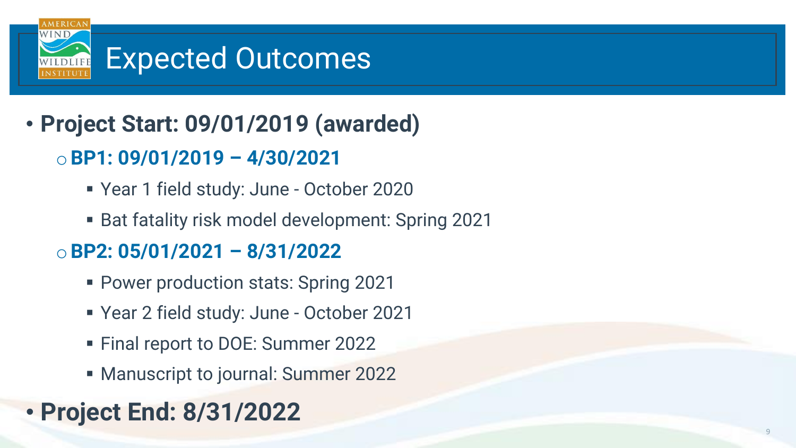

- **Project Start: 09/01/2019 (awarded)**
	- o**BP1: 09/01/2019 – 4/30/2021**
		- Year 1 field study: June October 2020
		- Bat fatality risk model development: Spring 2021

#### o**BP2: 05/01/2021 – 8/31/2022**

- Power production stats: Spring 2021
- Year 2 field study: June October 2021
- Final report to DOE: Summer 2022
- Manuscript to journal: Summer 2022

## • **Project End: 8/31/2022**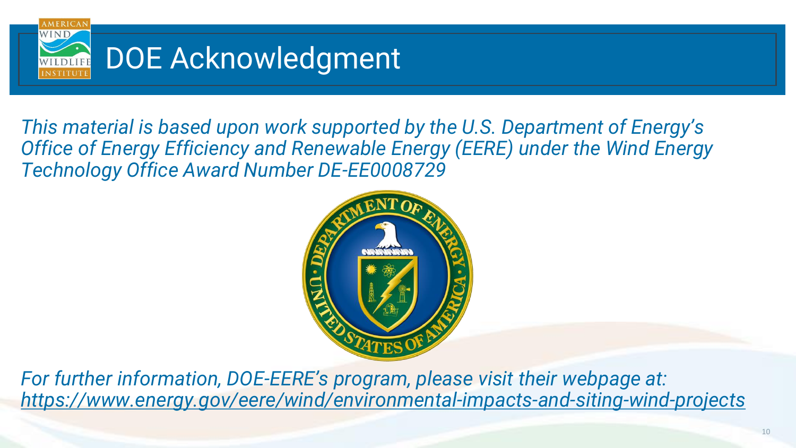

*This material is based upon work supported by the U.S. Department of Energy's Office of Energy Efficiency and Renewable Energy (EERE) under the Wind Energy Technology Office Award Number DE-EE0008729*



*For further information, DOE-EERE's program, please visit their webpage at: [https://www.energy.gov/eere/wind/environmental-impacts-and-siting-wind-projects](https://urldefense.proofpoint.com/v2/url?u=https-3A__www.energy.gov_eere_wind_environmental-2Dimpacts-2Dand-2Dsiting-2Dwind-2Dprojects&d=DwMFAg&c=YFYuafCCopBdR2aI1UDiwKbQTSrP7gdpddSkt1TYoDc&r=5thx8U9uM_cixFr21lvVhQ&m=kW4-Jyg3QUEmlaUqOMP3oJnis4R2eEW53pgI-qS0pcI&s=KmDnzFQArm1wNNHgzebQz9g1cKQWbsFqe7CVU6TSxkM&e=)*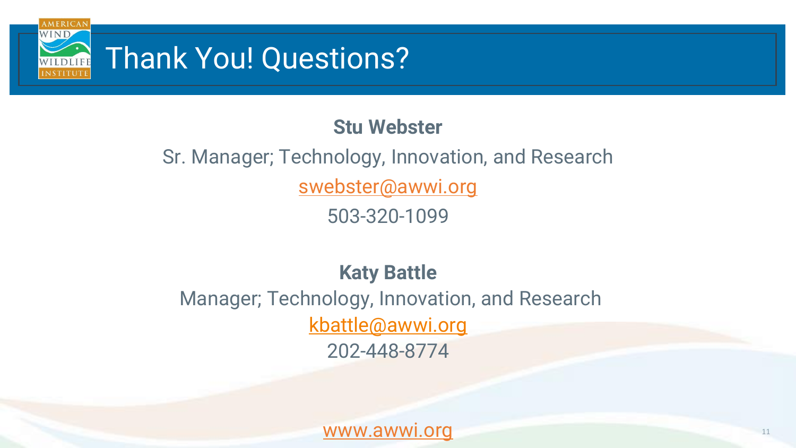

#### **Stu Webster**

## Sr. Manager; Technology, Innovation, and Research [swebster@awwi.org](mailto:swebster@awwi.org)

503-320-1099

#### **Katy Battle**

Manager; Technology, Innovation, and Research [kbattle@awwi.org](mailto:kbattle@awwi.org) 202-448-8774

[www.awwi.org](http://www.awwi.org/)